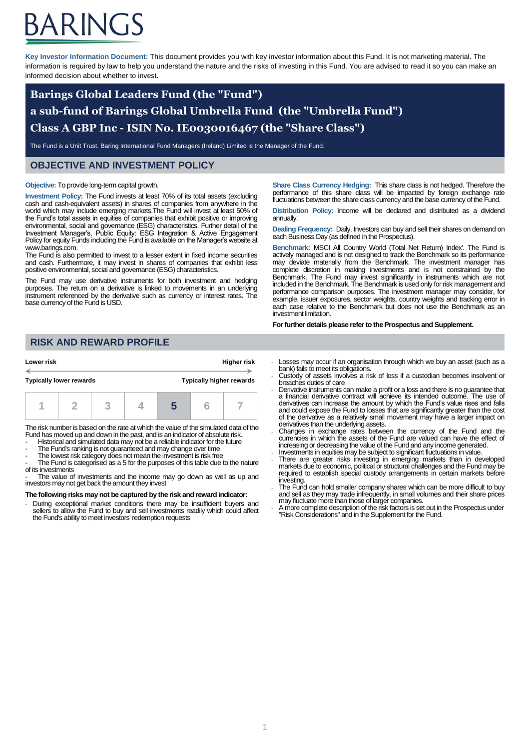# ARINGS

**Key Investor Information Document:** This document provides you with key investor information about this Fund. It is not marketing material. The information is required by law to help you understand the nature and the risks of investing in this Fund. You are advised to read it so you can make an informed decision about whether to invest.

## **Barings Global Leaders Fund (the "Fund") a sub-fund of Barings Global Umbrella Fund (the "Umbrella Fund") Class A GBP Inc - ISIN No. IE0030016467 (the "Share Class")**

The Fund is a Unit Trust. Baring International Fund Managers (Ireland) Limited is the Manager of the Fund.

## **OBJECTIVE AND INVESTMENT POLICY**

**Objective:** To provide long-term capital growth.

**Investment Policy:** The Fund invests at least 70% of its total assets (excluding cash and cash-equivalent assets) in shares of companies from anywhere in the world which may include emerging markets.The Fund will invest at least 50% of the Fund's total assets in equities of companies that exhibit positive or improving environmental, social and governance (ESG) characteristics. Further detail of the Investment Manager's, Public Equity: ESG Integration & Active Engagement Policy for equity Funds including the Fund is available on the Manager's website at www.barings.com.

The Fund is also permitted to invest to a lesser extent in fixed income securities and cash. Furthermore, it may invest in shares of companies that exhibit less positive environmental, social and governance (ESG) characteristics.

The Fund may use derivative instruments for both investment and hedging purposes. The return on a derivative is linked to movements in an underlying instrument referenced by the derivative such as currency or interest rates. The base currency of the Fund is USD.

**Share Class Currency Hedging:** This share class is not hedged. Therefore the performance of this share class will be impacted by foreign exchange rate fluctuations between the share class currency and the base currency of the Fund.

**Distribution Policy:** Income will be declared and distributed as a dividend annually.

**Dealing Frequency:** Daily. Investors can buy and sell their shares on demand on each Business Day (as defined in the Prospectus).

**Benchmark:** MSCI All Country World (Total Net Return) Index'. The Fund is actively managed and is not designed to track the Benchmark so its performance may deviate materially from the Benchmark. The investment manager has complete discretion in making investments and is not constrained by the Benchmark. The Fund may invest significantly in instruments which are not included in the Benchmark. The Benchmark is used only for risk management and performance comparison purposes. The investment manager may consider, for example, issuer exposures, sector weights, country weights and tracking error in each case relative to the Benchmark but does not use the Benchmark as an investment limitation.

**For further details please refer to the Prospectus and Supplement.**

## **RISK AND REWARD PROFILE**

| Lower risk |                                |  |  |  | <b>Higher risk</b>              |  |  |  |
|------------|--------------------------------|--|--|--|---------------------------------|--|--|--|
|            | <b>Typically lower rewards</b> |  |  |  | <b>Typically higher rewards</b> |  |  |  |
|            |                                |  |  |  |                                 |  |  |  |

The risk number is based on the rate at which the value of the simulated data of the Fund has moved up and down in the past, and is an indicator of absolute risk.

- Historical and simulated data may not be a reliable indicator for the future
- The Fund's ranking is not guaranteed and may change over time
- The lowest risk category does not mean the investment is risk free The Fund is categorised as a 5 for the purposes of this table due to the nature
- of its investments

- The value of investments and the income may go down as well as up and investors may not get back the amount they invest

#### **The following risks may not be captured by the risk and reward indicator:**

During exceptional market conditions there may be insufficient buyers and sellers to allow the Fund to buy and sell investments readily which could affect the Fund's ability to meet investors' redemption requests

- Losses may occur if an organisation through which we buy an asset (such as a bank) fails to meet its obligations.
- Custody of assets involves a risk of loss if a custodian becomes insolvent or breaches duties of care
- Derivative instruments can make a profit or a loss and there is no guarantee that a financial derivative contract will achieve its intended outcome. The use of derivatives can increase the amount by which the Fund's value rises and falls and could expose the Fund to losses that are significantly greater than the cost of the derivative as a relatively small movement may have a larger impact on derivatives than the underlying assets.
- Changes in exchange rates between the currency of the Fund and the currencies in which the assets of the Fund are valued can have the effect of increasing or decreasing the value of the Fund and any income generated.
- Investments in equities may be subject to significant fluctuations in value. There are greater risks investing in emerging markets than in developed markets due to economic, political or structural challenges and the Fund may be required to establish special custody arrangements in certain markets before
- investing. The Fund can hold smaller company shares which can be more difficult to buy and sell as they may trade infrequently, in small volumes and their share prices

may fluctuate more than those of larger companies. - A more complete description of the risk factors is set out in the Prospectus under "Risk Considerations" and in the Supplement for the Fund.